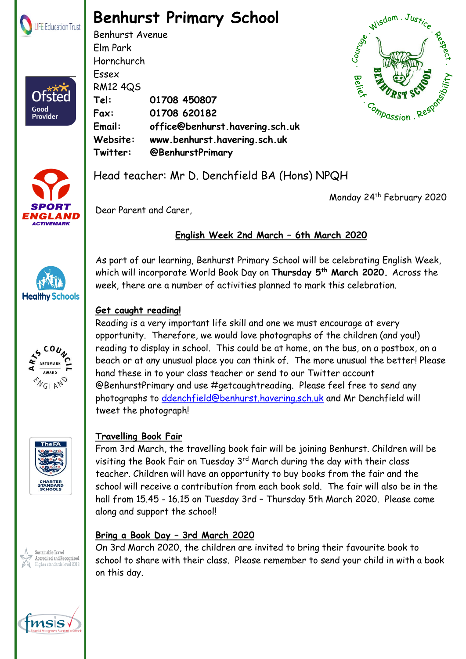

Ofsted

Good<br>Provider

## **Benhurst Primary School**

Benhurst Avenue Elm Park Hornchurch Essex RM12 4QS **Tel: 01708 450807 Fax: 01708 620182 Email: office@benhurst.havering.sch.uk Website: www.benhurst.havering.sch.uk Twitter: @BenhurstPrimary**





**Healthy Schools** 

Head teacher: Mr D. Denchfield BA (Hons) NPQH

Monday 24<sup>th</sup> February 2020

Dear Parent and Carer,

### **English Week 2nd March – 6th March 2020**

As part of our learning, Benhurst Primary School will be celebrating English Week, which will incorporate World Book Day on **Thursday 5th March 2020.** Across the week, there are a number of activities planned to mark this celebration.

#### **Get caught reading!**

Reading is a very important life skill and one we must encourage at every opportunity. Therefore, we would love photographs of the children (and you!) reading to display in school. This could be at home, on the bus, on a postbox, on a CO<sub>L</sub> beach or at any unusual place you can think of. The more unusual the better! Please ARTSMARK hand these in to your class teacher or send to our Twitter account **AWARD ENGLAND** @BenhurstPrimary and use #getcaughtreading. Please feel free to send any photographs to [ddenchfield@benhurst.havering.sch.uk](mailto:ddenchfield@benhurst.havering.sch.uk) and Mr Denchfield will tweet the photograph!



### **Travelling Book Fair**

From 3rd March, the travelling book fair will be joining Benhurst. Children will be visiting the Book Fair on Tuesday 3<sup>rd</sup> March during the day with their class teacher. Children will have an opportunity to buy books from the fair and the school will receive a contribution from each book sold. The fair will also be in the hall from 15.45 - 16.15 on Tuesday 3rd – Thursday 5th March 2020. Please come along and support the school!

#### **Bring a Book Day – 3rd March 2020**

On 3rd March 2020, the children are invited to bring their favourite book to school to share with their class. Please remember to send your child in with a book on this day.



Sustainable Travel ccredited and Recognised